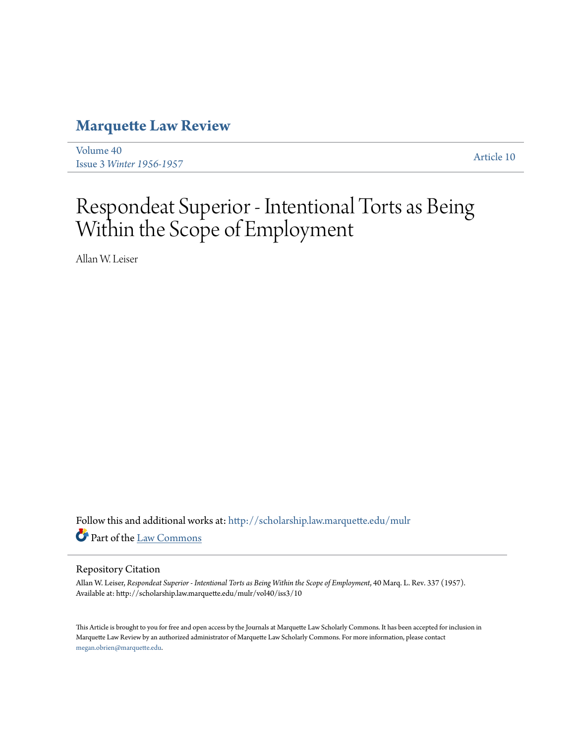## **[Marquette Law Review](http://scholarship.law.marquette.edu/mulr?utm_source=scholarship.law.marquette.edu%2Fmulr%2Fvol40%2Fiss3%2F10&utm_medium=PDF&utm_campaign=PDFCoverPages)**

[Volume 40](http://scholarship.law.marquette.edu/mulr/vol40?utm_source=scholarship.law.marquette.edu%2Fmulr%2Fvol40%2Fiss3%2F10&utm_medium=PDF&utm_campaign=PDFCoverPages) Issue 3 *[Winter 1956-1957](http://scholarship.law.marquette.edu/mulr/vol40/iss3?utm_source=scholarship.law.marquette.edu%2Fmulr%2Fvol40%2Fiss3%2F10&utm_medium=PDF&utm_campaign=PDFCoverPages)* [Article 10](http://scholarship.law.marquette.edu/mulr/vol40/iss3/10?utm_source=scholarship.law.marquette.edu%2Fmulr%2Fvol40%2Fiss3%2F10&utm_medium=PDF&utm_campaign=PDFCoverPages)

## Respondeat Superior - Intentional Torts as Being Within the Scope of Employment

Allan W. Leiser

Follow this and additional works at: [http://scholarship.law.marquette.edu/mulr](http://scholarship.law.marquette.edu/mulr?utm_source=scholarship.law.marquette.edu%2Fmulr%2Fvol40%2Fiss3%2F10&utm_medium=PDF&utm_campaign=PDFCoverPages) Part of the [Law Commons](http://network.bepress.com/hgg/discipline/578?utm_source=scholarship.law.marquette.edu%2Fmulr%2Fvol40%2Fiss3%2F10&utm_medium=PDF&utm_campaign=PDFCoverPages)

## Repository Citation

Allan W. Leiser, *Respondeat Superior - Intentional Torts as Being Within the Scope of Employment*, 40 Marq. L. Rev. 337 (1957). Available at: http://scholarship.law.marquette.edu/mulr/vol40/iss3/10

This Article is brought to you for free and open access by the Journals at Marquette Law Scholarly Commons. It has been accepted for inclusion in Marquette Law Review by an authorized administrator of Marquette Law Scholarly Commons. For more information, please contact [megan.obrien@marquette.edu.](mailto:megan.obrien@marquette.edu)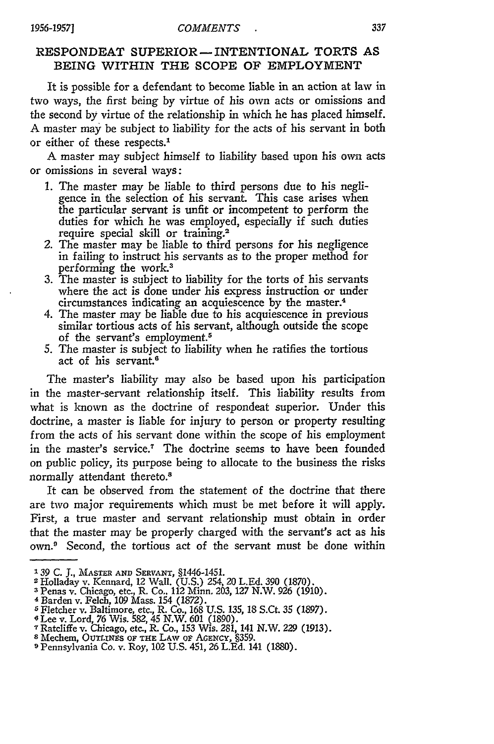## RESPONDEAT SUPERIOR - INTENTIONAL TORTS AS **BEING** WITHIN THE SCOPE OF EMPLOYMENT

It is possible for a defendant to become liable in an action at law in two ways, the first being by virtue of his own acts or omissions and the second by virtue of the relationship in which he has placed himself. A master may be subject to liability for the acts of his servant in both or either of these respects.'

A master may subject himself to liability based upon his own acts or omissions in several ways:

- **1.** The master may be liable to third persons due to his negligence in the selection of his servant. This case arises when the particular servant is unfit or incompetent to perform the duties for which he was employed, especially if such duties require special skill or training.<sup>2</sup>
- *2.* The master may be liable to third persons for his negligence in failing to instruct his servants as to the proper method for performing the work.3
- 3. The master is subject to liability for the torts of his servants where the act is done under his express instruction or under circumstances indicating an acquiescence by the master.4
- 4. The master may be liable due to his acquiescence in previous similar tortious acts of his servant, although outside the scope of the servant's employment.<sup>5</sup>
- 5. The master is subject to liability when he ratifies the tortious act of his servant.<sup>6</sup>

The master's liability may also be based upon his participation in the master-servant relationship itself. This liability results from what is known as the doctrine of respondeat superior. Under this doctrine, a master is liable for injury to person or property resulting from the acts of his servant done within the scope of his employment in the master's service.' The doctrine seems to have been founded on public policy, its purpose being to allocate to the business the risks normally attendant thereto.<sup>8</sup>

It can be observed from the statement of the doctrine that there are two major requirements which must be met before it will apply. First, a true master and servant relationship must obtain in order that the master may be properly charged with the servant's act as his own.<sup>9</sup> Second, the tortious act of the servant must be done within

*<sup>139</sup>*C. J., MASTER **AND SERVANT,** §1446-1451. 2 Holladay v. Kennard, 12 Wall. (U.S.) 254, 20 L.Ed. 390 (1870).

**<sup>3</sup>**Penas v. Chicago, etc., R. Co.. 112 Minn. 203, 127 N.W. 926 (1910).

<sup>4</sup> Barden v. Felch, 109 Mass. 154 (1872).

<sup>&</sup>lt;sup>5</sup> Fletcher v. Baltimore, etc., R. Co., 168 U.S. 135, 18 S.Ct. 35 (1897)<br><sup>6</sup> Lee v. Lord, 76 Wis. 582, 45 N.W. 601 (1890).<br><sup>7</sup> Ratcliffe v. Chicago, etc., R. Co., 153 Wis. 281, 141 N.W. 229 (1913)<br><sup>8</sup> Mechem. Ourt.rwes of

**<sup>9</sup>** Pennsylvania Co. v. Roy, 102 U.S. 451, 26 L.Ed. 141 (1880).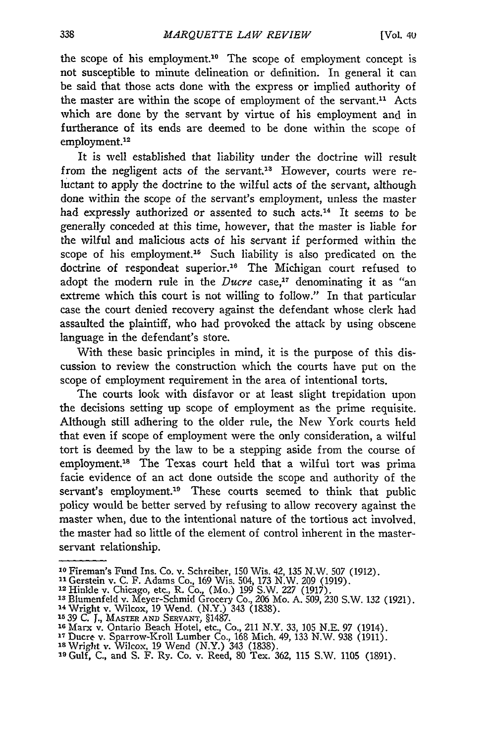the scope of his employment.10 The scope of employment concept is not susceptible to minute delineation or definition. In general it can be said that those acts done with the express or implied authority of the master are within the scope of employment of the servant.<sup>11</sup> Acts which are done by the servant by virtue of his employment and in furtherance of its ends are deemed to be done within the scope of employment.<sup>12</sup>

It is well established that liability under the doctrine will result from the negligent acts of the servant.<sup>13</sup> However, courts were reluctant to apply the doctrine to the wilful acts of the servant, although done within the scope of the servant's employment, unless the master had expressly authorized or assented to such acts.<sup>14</sup> It seems to be generally conceded at this time, however, that the master is liable for the wilful and malicious acts of his servant if performed within the scope of his employment.<sup>15</sup> Such liability is also predicated on the doctrine of respondeat superior.<sup>16</sup> The Michigan court refused to adopt the modern rule in the *Ducre* case,<sup>17</sup> denominating it as "an extreme which this court is not willing to follow." In that particular case the court denied recovery against the defendant whose clerk had assaulted the plaintiff, who had provoked the attack by using obscene language in the defendant's store.

With these basic principles in mind, it is the purpose of this discussion to review the construction which the courts have put on the scope of employment requirement in the area of intentional torts.

The courts look with disfavor or at least slight trepidation upon the decisions setting up scope of employment as the prime requisite. Although still adhering to the older rule, the New York courts held that even if scope of employment were the only consideration, a wilful tort is deemed by the law to be a stepping aside from the course of employment.<sup>18</sup> The Texas court held that a wilful tort was prima facie evidence of an act done outside the scope and authority of the servant's employment.<sup>19</sup> These courts seemed to think that public policy would be better served by refusing to allow recovery against the master when, due to the intentional nature of the tortious act involved, the master had so little of the element of control inherent in the masterservant relationship.

**<sup>10</sup>**Fireman's Fund Ins. Co. v. Schreiber, 150 Wis. 42, 135 N.W. 507 (1912).

**<sup>11</sup>**Gerstein v. C. F. Adams Co., 169 Wis. 504, 173 N.W. 209 (1919). **<sup>12</sup>**Hinlde v. Chicago, etc., R. Co., (Mo.) 199 S.W. 227 (1917).

<sup>&</sup>lt;sup>13</sup> Blumenfeld v. Meyer-Schmid Grocery Co., 206 Mo. A. 509, 230 S.W. 132 (1921)<br><sup>14</sup> Wright v. Wilcox, 19 Wend. (N.Y.). 343 (1838). 4 Billmenteid v. Meyer-Schmid Grocery Co., 200<br><sup>14</sup> Wright v. Wilcox, 19 Wend. (N.Y.) 343 (1838<sub>.</sub><br>15 39 C. I., Master ann Servant, §1487.

**<sup>16</sup>**Marx v. Ontario Beach Hotel, etc., Co., 211 N.Y. 33, 105 N.E. 97 (1914).

<sup>1</sup> Ducre v. Sparrow-Kroll Lumber Co., 168 Mich. 49, 133 N.W. 938 (1911). **<sup>18</sup>**Wright v. Wilcox, 19 Wend (N.Y.) 343 (1838).

**<sup>&#</sup>x27;9** Gulf, C., and S. F. Ry. Co. v. Reed, 80 Tex. 362, 115 S.W. 1105 (1891).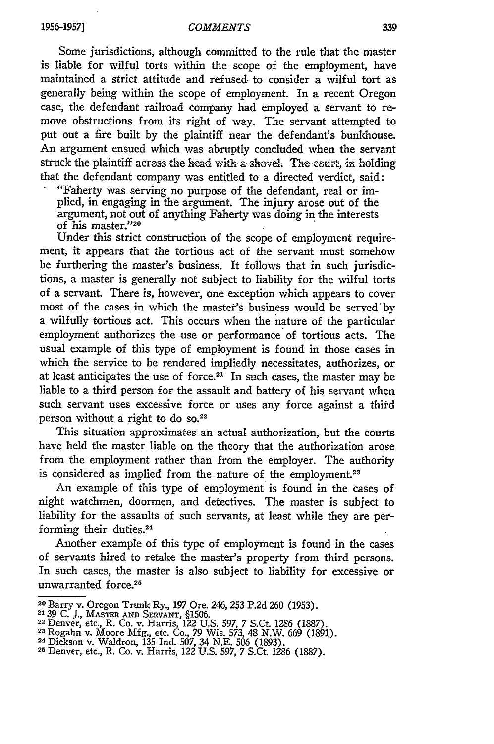Some jurisdictions, although committed to the rule that the master is liable for wilful torts within the scope of the employment, have maintained a strict attitude and refused to consider a wilful tort as generally being within the scope of employment. In a recent Oregon case, the defendant railroad company had employed a servant to remove obstructions from its right of way. The servant attempted to put out a fire built by the plaintiff near the defendant's bunkhouse. An argument ensued which was abruptly concluded when the servant struck the plaintiff across the head with a shovel. The court, in holding that the defendant company was entitled to a directed verdict, said:

"Faherty was serving no purpose of the defendant, real or implied, in engaging in the argument. The injury arose out of the argument, not out of anything Faherty was doing in the interests of his master."<sup>20</sup>

Under this strict construction of the scope of employment requirement, it appears that the tortious act of the servant must somehow be furthering the master's business. It follows that in such jurisdictions, a master is generally not subject to liability for the wilful torts of a servant. There is, however, one exception which appears to cover most of the cases in which the mastef's business would be served'by a wilfully tortious act. This occurs when the nature of the particular employment authorizes the use or performance of tortious acts. The usual example of this type of employment is found in those cases in which the service to be rendered impliedly necessitates, authorizes, or at least anticipates the use of force.<sup>21</sup> In such cases, the master may be liable to a third person for the assault and battery of his servant when such servant uses excessive force or uses any force against a third person without a right to do **So. <sup>2</sup> <sup>2</sup>**

This situation approximates an actual authorization, but the courts have held the master liable on the theory that the authorization arose from the employment rather than from the employer. The authority is considered as implied from the nature of the employment.<sup>23</sup>

An example of this type of employment is found in the cases of night watchmen, doormen, and detectives. The master is subject to liability for the assaults of such servants, at least while they are performing their duties.<sup>24</sup>

Another example of this type of employment is found in the cases of servants hired to retake the master's property from third persons. In such cases, the master is also subject to liability for excessive or unwarranted force.<sup>25</sup>

<sup>20</sup> Barry v. Oregon Trunk Ry., 197 Ore. 246, 253 P.2d 260 **(1953).**

**<sup>21</sup>**39 C. **.,** MASTER **AND** SERVANT, §1506. 22 Denver, etc., R. Co. v. Harris, 122 U.S. 597, 7 S.Ct. 1286 (1887).

<sup>23</sup> Benver, etc., R. Co. v. Harris, 122 U.S. 397, 7 S.Ct. 1286 (1887).<br><sup>24</sup> Rogahn v. Moore Mfg., etc. Co., 79 Wis. 573, 48 N.W. 669 (1891)<br><sup>24</sup> Dickson v. Waldron, 135 Ind. 507, 34 N.E. 506 (1887). <sup>25</sup> Denver, etc., R. Co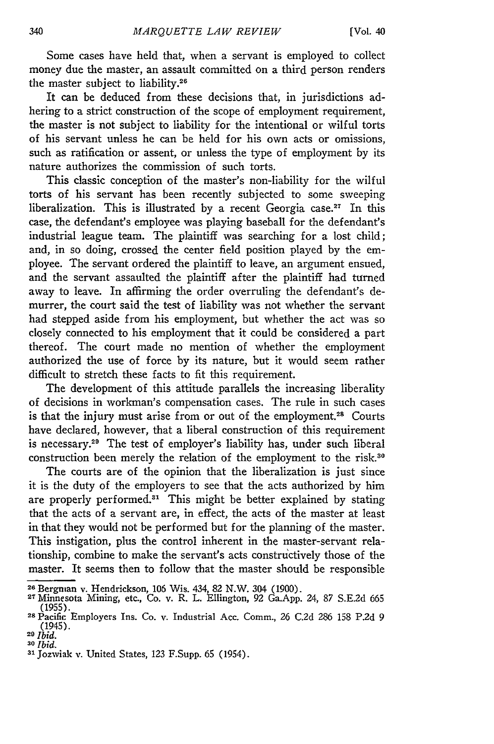Some cases have held that, when a servant is employed to collect money due the master, an assault committed on a third person renders the master subject to liability.<sup>26</sup>

It can be deduced from these decisions that, in jurisdictions adhering to a strict construction of the scope of employment requirement, the master is not subject to liability for the intentional or wilful torts of his servant unless he can be held for his own acts or omissions, such as ratification or assent, or unless the type of employment by its nature authorizes the commission of such torts.

This classic conception of the master's non-liability for the wilful torts of his servant has been recently subjected to some sweeping liberalization. This is illustrated by a recent Georgia case.<sup>27</sup> In this case, the defendant's employee was playing baseball for the defendant's industrial league team. The plaintiff was searching for a lost child; and, in so doing, crossed the center field position played by the employee. The servant ordered the plaintiff to leave, an argument ensued, and the servant assaulted the plaintiff after the plaintiff had turned away to leave. In affirming the order overruling the defendant's demurrer, the court said the test of liability was not whether the servant had stepped aside from his employment, but whether the act was so closely connected to his employment that it could be considered a part thereof. The court made no mention of whether the employment authorized the use of force by its nature, but it would seem rather difficult to stretch these facts to fit this requirement.

The development of this attitude parallels the increasing liberality of decisions in workman's compensation cases. The rule in such cases is that the injury must arise from or out of the employment.<sup>28</sup> Courts have declared, however, that a liberal construction of this requirement is necessary.<sup>29</sup> The test of employer's liability has, under such liberal construction been merely the relation of the employment to the risk.<sup>30</sup>

The courts are of the opinion that the liberalization is just since it is the duty of the employers to see that the acts authorized by him are properly performed. $31$  This might be better explained by stating that the acts of a servant are, in effect, the acts of the master at least in that they would not be performed but for the planning of the master. This instigation, plus the control inherent in the master-servant relationship, combine to make the servant's acts constructively those of the master. It seems then to follow that the master should be responsible

**<sup>26</sup>**Bergman v. Hendrickson, 106 Wis. 434, **82** N.W. 304 (1900). **<sup>2</sup> <sup>7</sup>**Minnesota Mining, etc., Co. v. R. L. Ellington, 92 Ga.App. 24, 87 S.E.2d 665 (1955). **<sup>28</sup>**Pacific Employers Ins. Co. v. Industrial Acc. Comm., 26 C.2d 286 158 P.2d 9

<sup>(1945).</sup> **<sup>29</sup>***Ibid.*

*<sup>30</sup>Ibid.*

**<sup>31</sup>**Jozwiak v. United States, **123** F.Supp. 65 (1954).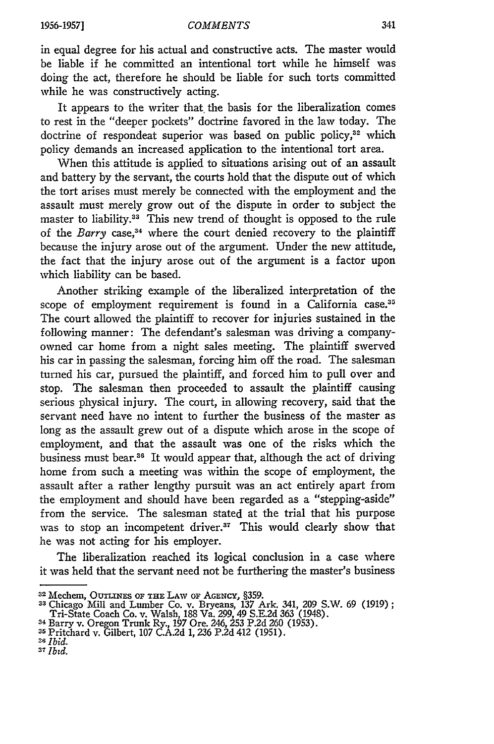in equal degree for his actual and constructive acts. The master would be liable if he committed an intentional tort while he himself was doing the act, therefore he should be liable for such torts committed while he was constructively acting.

It appears to the writer that the basis for the liberalization comes to rest in the "deeper pockets" doctrine favored in the law today. The doctrine of respondeat superior was based on public policy,<sup>32</sup> which policy demands an increased application to the intentional tort area.

When this attitude is applied to situations arising out of an assault and battery by the servant, the courts hold that the dispute out of which the tort arises must merely be connected with the employment and the assault must merely grow out of the dispute in order to subject the master to liability.<sup>33</sup> This new trend of thought is opposed to the rule of the *Barry* case,<sup>34</sup> where the court denied recovery to the plaintiff because the injury arose out of the argument. Under the new attitude, the fact that the injury arose out of the argument is a factor upon which liability can be based.

Another striking example of the liberalized interpretation of the scope of employment requirement is found in a California **case.<sup>3</sup> <sup>5</sup>** The court allowed the plaintiff to recover for injuries sustained in the following manner: The defendant's salesman was driving a companyowned car home from a night sales meeting. The plaintiff swerved his car in passing the salesman, forcing him off the road. The salesman turned his car, pursued the plaintiff, and forced him to pull over and stop. The salesman then proceeded to assault the plaintiff causing serious physical injury. The court, in allowing recovery, said that the servant need have no intent to further the business of the master as long as the assault grew out of a dispute which arose in the scope of employment, and that the assault was one of the risks which the business must bear.<sup>36</sup> It would appear that, although the act of driving home from such a meeting was within the scope of employment, the assault after a rather lengthy pursuit was an act entirely apart from the employment and should have been regarded as a "stepping-aside" from the service. The salesman stated at the trial that his purpose was to stop an incompetent driver.<sup>37</sup> This would clearly show that he was not acting for his employer.

The liberalization reached its logical conclusion in a case where it was held that the servant need not be furthering the master's business

<sup>32</sup> Mechem, OUTLINES OF **THE LAW oF AGENCY, §359.**

<sup>33</sup> Chicago Mill and Lumber Co. v. Bryeans, 137 Ark. 341, 209 S.W. 69 (1919)<br>Tri-State Coach Co. v. Walsh, 188 Va. 299, 49 S.E.2d 363 (1948).<br><sup>34</sup> Barry v. Oregon Trunk Ry., 197 Ore. 246, 253 P.2d 260 (1953).

**<sup>35</sup>**Pritchard v. Gilbert, 107 C.A.2d **1,** 236 P.2d 412 (1951). *U Ibid.*

<sup>&</sup>lt;sup>26</sup> Ibid.<br><sup>37</sup> Ibid.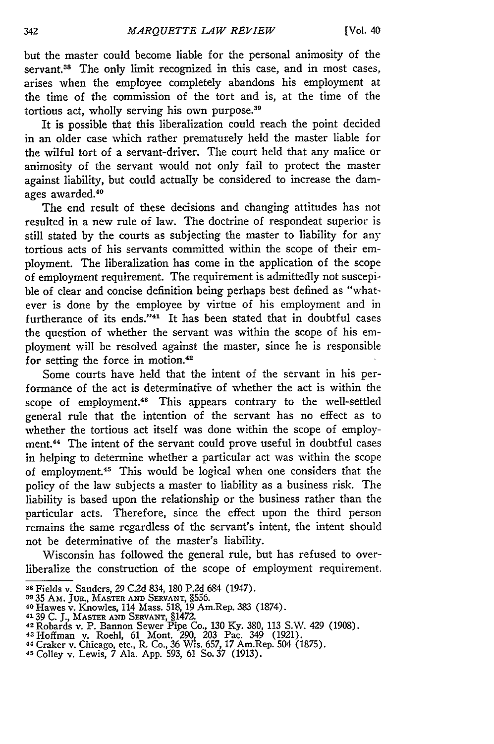but the master could become liable for the personal animosity of the servant.<sup>38</sup> The only limit recognized in this case, and in most cases, arises when the employee completely abandons his employment at the time of the commission of the tort and is, at the time of the tortious act, wholly serving his own purpose.<sup>36</sup>

It is possible that this liberalization could reach the point decided in an older case which rather prematurely held the master liable for the wilful tort of a servant-driver. The court held that any malice or animosity of the servant would not only fail to protect the master against liability, but could actually be considered to increase the damages awarded.40

The end result of these decisions and changing attitudes has not resulted in a new rule of law. The doctrine of respondeat superior is still stated by the courts as subjecting the master to liability for any tortious acts of his servants committed within the scope of their employment. The liberalization has come in the application of the scope of employment requirement. The requirement is admittedly not suscepible of clear and concise definition being perhaps best defined as "whatever is done by the employee by virtue of his employment and in furtherance of its ends."<sup>41</sup> It has been stated that in doubtful cases the question of whether the servant was within the scope of his employment will be resolved against the master, since he is responsible for setting the force in motion.<sup>42</sup>

Some courts have held that the intent of the servant in his performance of the act is determinative of whether the act is within the scope of employment.<sup>43</sup> This appears contrary to the well-settled general rule that the intention of the servant has no effect as to whether the tortious act itself was done within the scope of employment.<sup>44</sup> The intent of the servant could prove useful in doubtful cases in helping to determine whether a particular act was within the scope of employment. 45 This would be logical when one considers that the policy of the law subjects a master to liability as a business risk. The liability is based upon the relationship or the business rather than the particular acts. Therefore, since the effect upon the third person remains the same regardless of the servant's intent, the intent should not be determinative of the master's liability.

Wisconsin has followed the general rule, but has refused to overliberalize the construction of the scope of employment requirement.

**<sup>38</sup>**Fields v. Sanders, *29* C.2d 834, 180 P.2d 684 (1947).

**<sup>39 35</sup>** Am. JuR., MASTER **AND SERVANT,** §556. <sup>40</sup>Hawes v. Knowles, 114 Mass. 518, 19 Am.Rep. 383 (1874).

<sup>41 39</sup> C. J., MASTER AND SERVANT, §1472.<br>
42 Robards v. P. Bannon Sewer Pipe Co., 130 Ky. 380, 113 S.W. 429 (1908)<br>
43 Hoffman v. Roehl, 61 Mont. 290, 203 Pac. 349 (1921).<br>
44 Craker v. Chicago, etc., R. Co., 36 Wis. 657, 1

<sup>45</sup>Colley v. Lewis, 7 Ala. App. 593, 61 So. 37 (1913).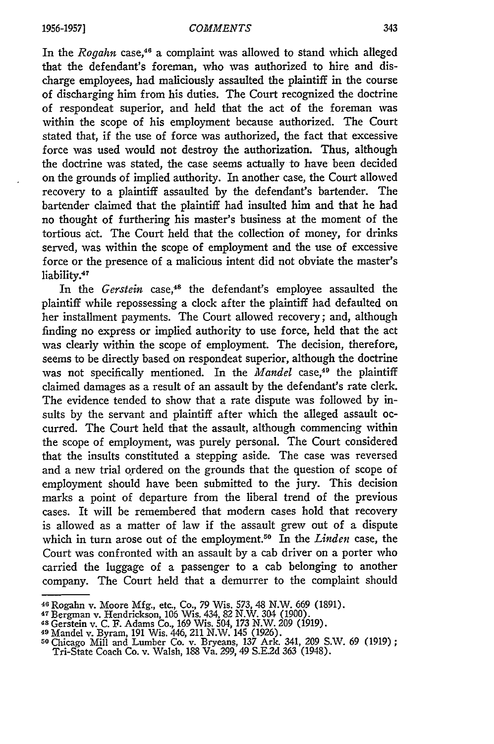In the *Rogahn* case,<sup>46</sup> a complaint was allowed to stand which alleged that the defendant's foreman, who was authorized to hire and discharge employees, had maliciously assaulted the plaintiff in the course of discharging him from his duties. The Court recognized the doctrine of respondeat superior, and held that the act of the foreman was within the scope of his employment because authorized. The Court stated that, if the use of force was authorized, the fact that excessive force was used would not destroy the authorization. Thus, although the doctrine was stated, the case seems actually to have been decided on the grounds of implied authority. In another case, the Court allowed recovery to a plaintiff assaulted by the defendant's bartender. The bartender claimed that the plaintiff had insulted him and that he had no thought of furthering his master's business at the moment of the tortious act. The Court held that the collection of money, for drinks served, was within the scope of employment and the use of excessive force or the presence of a malicious intent did not obviate the master's liability.<sup>47</sup>

In the *Gerstein* case,<sup>48</sup> the defendant's employee assaulted the plaintiff while repossessing a clock after the plaintiff had defaulted on her installment payments. The Court allowed recovery; and, although finding no express or implied authority to use force, held that the act was clearly within the scope of employment. The decision, therefore, seems to be directly based on respondeat superior, although the doctrine was not specifically mentioned. In the *Mandel* case,<sup>49</sup> the plaintiff claimed damages as a result of an assault by the defendant's rate clerk. The evidence tended to show that a rate dispute was followed by insults by the servant and plaintiff after which the alleged assault occurred. The Court held that the assault, although commencing within the scope of employment, was purely personal. The Court considered that the insults constituted a stepping aside. The case was reversed and a new trial ordered on the grounds that the question of scope of employment should have been submitted to the jury. This decision marks a point of departure from the liberal trend of the previous cases. It will be remembered that modem cases hold that recovery is allowed as a matter of law if the assault grew out of a dispute which in turn arose out of the employment.50 In the *Linden* case, the Court was confronted with an assault by a cab driver on a porter who carried the luggage of a passenger to a cab belonging to another company. The Court held that a demurrer to the complaint should

**<sup>46</sup>**Rogahn v. Moore **Mfg.,** etc., Co., **79** Wis. 573, 48 N.W. 669 (1891).

**<sup>4</sup>**Bergman v. Hendrickson, 106 Wis. 434, 82 N.W. 304 (1900). 48 Gerstein v. C. F. Adams Co., 169 Wis. 504, **173** N.W. 209 (1919).

**<sup>9</sup>**Mandel v. Byram, 191 Wis. 446, 211 N.W. 145 (1926). **<sup>50</sup>**Chicago Mill and Lumber Co. v. Bryeans, 137 Ark. 341, 209 S.W. 69 (1919);

Tri-State Coach Co. v. Walsh, 188 Va. 299, 49 S.E.2d 363 (1948).